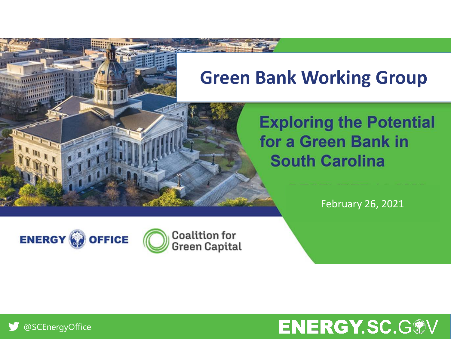## **Green Bank Working Group**

### **Exploring the Potential** for a Green Bank in **South Carolina**

February 26, 2021







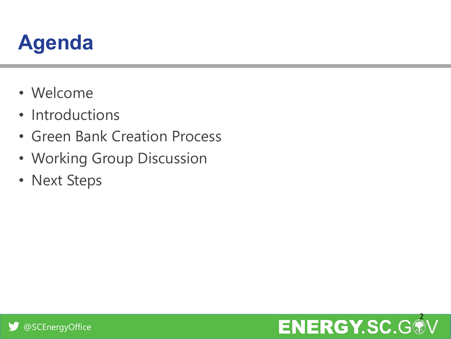## **Agenda**

- Welcome
- Introductions
- Green Bank Creation Process
- Working Group Discussion
- Next Steps

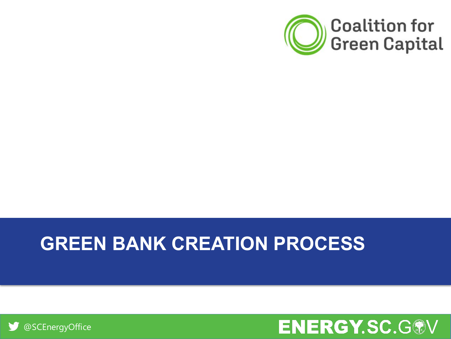

### **GREEN BANK CREATION PROCESS**



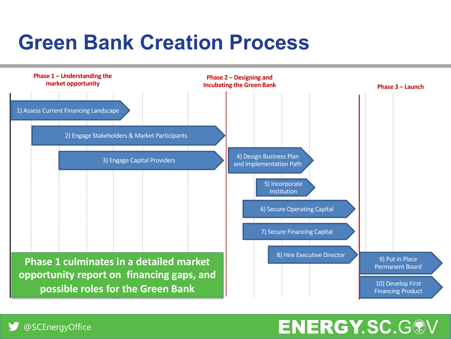## **Green Bank Creation Process**

@SCEnergyOffice



### **ENERGY.SC.G®V**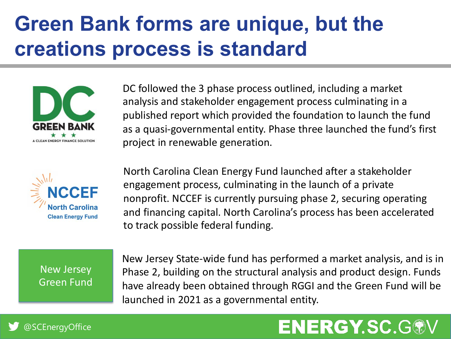# **Green Bank forms are unique, but the creations process is standard**





DC followed the 3 phase process outlined, including a market analysis and stakeholder engagement process culminating in a published report which provided the foundation to launch the fund as a quasi-governmental entity. Phase three launched the fund's first project in renewable generation.

North Carolina Clean Energy Fund launched after a stakeholder engagement process, culminating in the launch of a private nonprofit. NCCEF is currently pursuing phase 2, securing operating and financing capital. North Carolina's process has been accelerated to track possible federal funding.

New Jersey Green Fund New Jersey State-wide fund has performed a market analysis, and is in Phase 2, building on the structural analysis and product design. Funds have already been obtained through RGGI and the Green Fund will be launched in 2021 as a governmental entity.

### **ENERGY.SC.G**

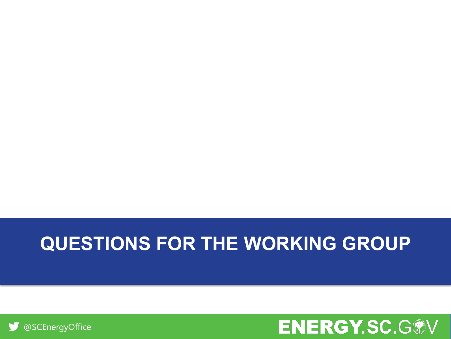



## **QUESTIONS FOR THE WORKING GROUP**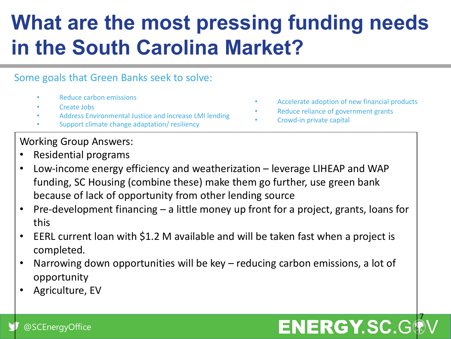# **What are the most pressing funding needs in the South Carolina Market?**

#### Some goals that Green Banks seek to solve:

- Reduce carbon emissions
- Create Jobs
- Address Environmental Justice and increase LMI lending
- Support climate change adaptation/ resiliency

### Working Group Answers:

- Residential programs
- Low-income energy efficiency and weatherization leverage LIHEAP and WAP funding, SC Housing (combine these) make them go further, use green bank because of lack of opportunity from other lending source
- Pre-development financing a little money up front for a project, grants, loans for this
- EERL current loan with \$1.2 M available and will be taken fast when a project is completed.
- Narrowing down opportunities will be key reducing carbon emissions, a lot of opportunity
- Agriculture, EV

#### • Accelerate adoption of new financial products

- Reduce reliance of government grants
- Crowd-in private capital

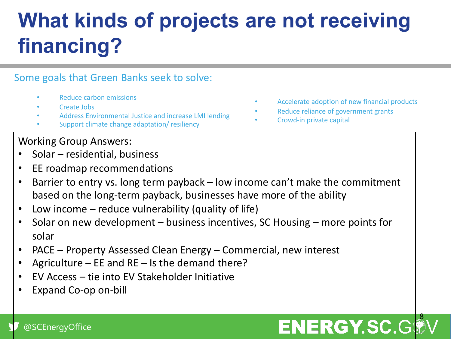# **What kinds of projects are not receiving financing?**

#### Some goals that Green Banks seek to solve:

- Reduce carbon emissions
- Create Jobs
- Address Environmental Justice and increase LMI lending
- Support climate change adaptation/ resiliency

### Working Group Answers:

- Solar residential, business
- EE roadmap recommendations
- Barrier to entry vs. long term payback low income can't make the commitment based on the long-term payback, businesses have more of the ability
- Low income reduce vulnerability (quality of life)
- Solar on new development business incentives, SC Housing more points for solar
- PACE Property Assessed Clean Energy Commercial, new interest
- Agriculture EE and RE Is the demand there?
- EV Access tie into EV Stakeholder Initiative
- Expand Co-op on-bill

#### • Accelerate adoption of new financial products

- Reduce reliance of government grants
- Crowd-in private capital

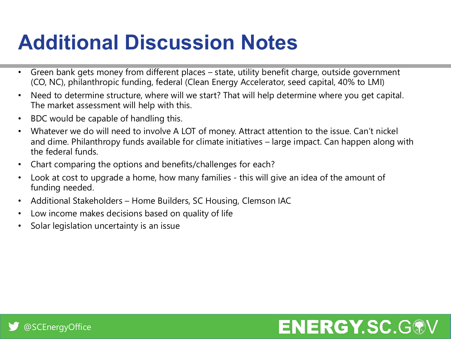## **Additional Discussion Notes**

- Green bank gets money from different places state, utility benefit charge, outside government (CO, NC), philanthropic funding, federal (Clean Energy Accelerator, seed capital, 40% to LMI)
- Need to determine structure, where will we start? That will help determine where you get capital. The market assessment will help with this.
- BDC would be capable of handling this.
- Whatever we do will need to involve A LOT of money. Attract attention to the issue. Can't nickel and dime. Philanthropy funds available for climate initiatives – large impact. Can happen along with the federal funds.
- Chart comparing the options and benefits/challenges for each?
- Look at cost to upgrade a home, how many families this will give an idea of the amount of funding needed.
- Additional Stakeholders Home Builders, SC Housing, Clemson IAC
- Low income makes decisions based on quality of life
- Solar legislation uncertainty is an issue

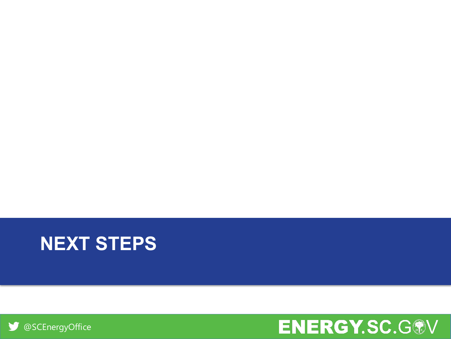



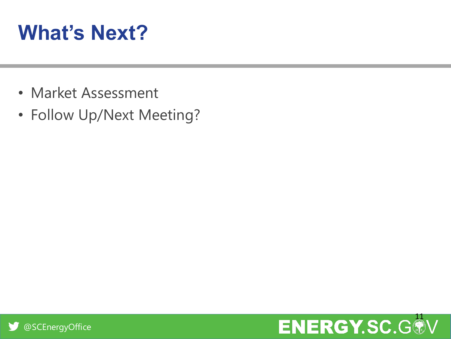# **What's Next?**

- Market Assessment
- Follow Up/Next Meeting?